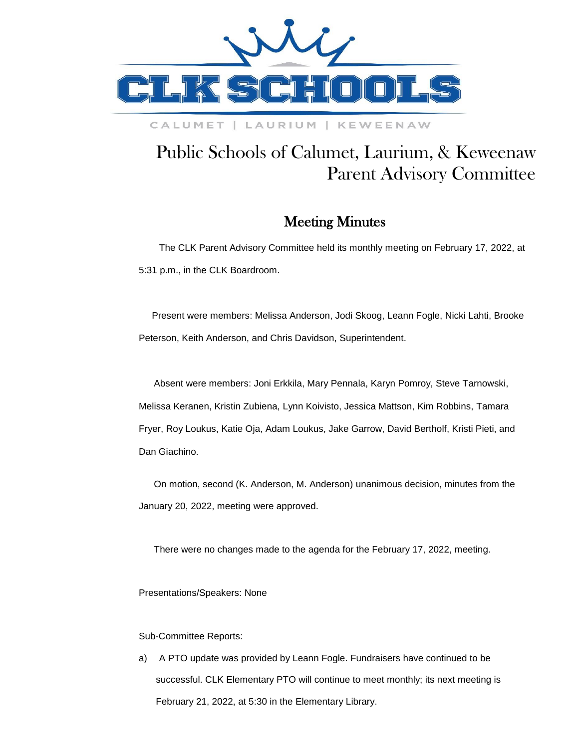

### CALUMET | LAURIUM | KEWEENAW

# Public Schools of Calumet, Laurium, & Keweenaw Parent Advisory Committee

## Meeting Minutes

 The CLK Parent Advisory Committee held its monthly meeting on February 17, 2022, at 5:31 p.m., in the CLK Boardroom.

 Present were members: Melissa Anderson, Jodi Skoog, Leann Fogle, Nicki Lahti, Brooke Peterson, Keith Anderson, and Chris Davidson, Superintendent.

Absent were members: Joni Erkkila, Mary Pennala, Karyn Pomroy, Steve Tarnowski, Melissa Keranen, Kristin Zubiena, Lynn Koivisto, Jessica Mattson, Kim Robbins, Tamara Fryer, Roy Loukus, Katie Oja, Adam Loukus, Jake Garrow, David Bertholf, Kristi Pieti, and Dan Giachino.

On motion, second (K. Anderson, M. Anderson) unanimous decision, minutes from the January 20, 2022, meeting were approved.

There were no changes made to the agenda for the February 17, 2022, meeting.

Presentations/Speakers: None

### Sub-Committee Reports:

a) A PTO update was provided by Leann Fogle. Fundraisers have continued to be successful. CLK Elementary PTO will continue to meet monthly; its next meeting is February 21, 2022, at 5:30 in the Elementary Library.